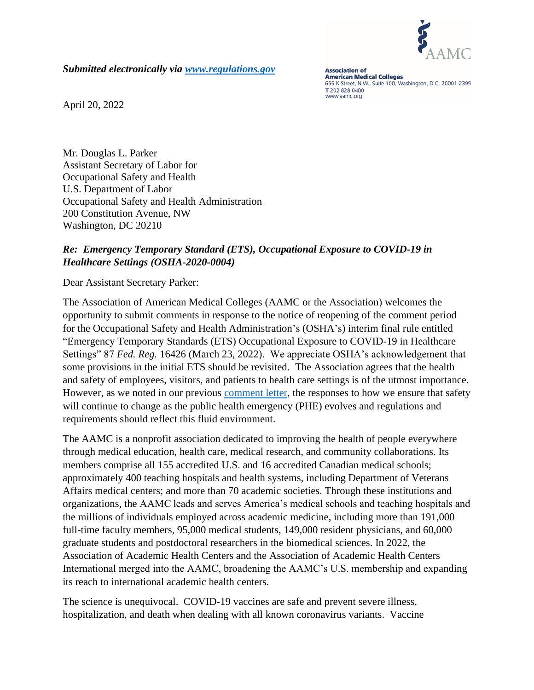

*Submitted electronically via [www.regulations.gov](http://www.regulations.gov/)*

**Association of American Medical Colleges** 655 K Street, N.W., Suite 100, Washington, D.C. 20001-2399 T 202 828 0400 www.aamc.org

April 20, 2022

Mr. Douglas L. Parker Assistant Secretary of Labor for Occupational Safety and Health U.S. Department of Labor Occupational Safety and Health Administration 200 Constitution Avenue, NW Washington, DC 20210

## *Re: Emergency Temporary Standard (ETS), Occupational Exposure to COVID-19 in Healthcare Settings (OSHA-2020-0004)*

Dear Assistant Secretary Parker:

The Association of American Medical Colleges (AAMC or the Association) welcomes the opportunity to submit comments in response to the notice of reopening of the comment period for the Occupational Safety and Health Administration's (OSHA's) interim final rule entitled "Emergency Temporary Standards (ETS) Occupational Exposure to COVID-19 in Healthcare Settings" 87 *Fed. Reg.* 16426 (March 23, 2022). We appreciate OSHA's acknowledgement that some provisions in the initial ETS should be revisited. The Association agrees that the health and safety of employees, visitors, and patients to health care settings is of the utmost importance. However, as we noted in our previous [comment letter,](https://www.aamc.org/media/55751/download) the responses to how we ensure that safety will continue to change as the public health emergency (PHE) evolves and regulations and requirements should reflect this fluid environment.

The AAMC is a nonprofit association dedicated to improving the health of people everywhere through medical education, health care, medical research, and community collaborations. Its members comprise all 155 accredited U.S. and 16 accredited Canadian medical schools; approximately 400 teaching hospitals and health systems, including Department of Veterans Affairs medical centers; and more than 70 academic societies. Through these institutions and organizations, the AAMC leads and serves America's medical schools and teaching hospitals and the millions of individuals employed across academic medicine, including more than 191,000 full-time faculty members, 95,000 medical students, 149,000 resident physicians, and 60,000 graduate students and postdoctoral researchers in the biomedical sciences. In 2022, the Association of Academic Health Centers and the Association of Academic Health Centers International merged into the AAMC, broadening the AAMC's U.S. membership and expanding its reach to international academic health centers.

The science is unequivocal. COVID-19 vaccines are safe and prevent severe illness, hospitalization, and death when dealing with all known coronavirus variants. Vaccine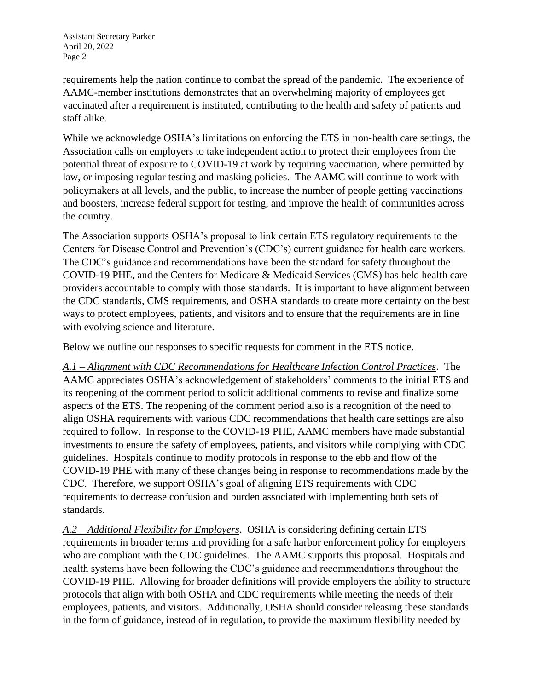Assistant Secretary Parker April 20, 2022 Page 2

requirements help the nation continue to combat the spread of the pandemic. The experience of AAMC-member institutions demonstrates that an overwhelming majority of employees get vaccinated after a requirement is instituted, contributing to the health and safety of patients and staff alike.

While we acknowledge OSHA's limitations on enforcing the ETS in non-health care settings, the Association calls on employers to take independent action to protect their employees from the potential threat of exposure to COVID-19 at work by requiring vaccination, where permitted by law, or imposing regular testing and masking policies. The AAMC will continue to work with policymakers at all levels, and the public, to increase the number of people getting vaccinations and boosters, increase federal support for testing, and improve the health of communities across the country.

The Association supports OSHA's proposal to link certain ETS regulatory requirements to the Centers for Disease Control and Prevention's (CDC's) current guidance for health care workers. The CDC's guidance and recommendations have been the standard for safety throughout the COVID-19 PHE, and the Centers for Medicare & Medicaid Services (CMS) has held health care providers accountable to comply with those standards. It is important to have alignment between the CDC standards, CMS requirements, and OSHA standards to create more certainty on the best ways to protect employees, patients, and visitors and to ensure that the requirements are in line with evolving science and literature.

Below we outline our responses to specific requests for comment in the ETS notice.

*A.1 – Alignment with CDC Recommendations for Healthcare Infection Control Practices*. The AAMC appreciates OSHA's acknowledgement of stakeholders' comments to the initial ETS and its reopening of the comment period to solicit additional comments to revise and finalize some aspects of the ETS. The reopening of the comment period also is a recognition of the need to align OSHA requirements with various CDC recommendations that health care settings are also required to follow. In response to the COVID-19 PHE, AAMC members have made substantial investments to ensure the safety of employees, patients, and visitors while complying with CDC guidelines. Hospitals continue to modify protocols in response to the ebb and flow of the COVID-19 PHE with many of these changes being in response to recommendations made by the CDC. Therefore, we support OSHA's goal of aligning ETS requirements with CDC requirements to decrease confusion and burden associated with implementing both sets of standards.

*A.2 – Additional Flexibility for Employers*. OSHA is considering defining certain ETS requirements in broader terms and providing for a safe harbor enforcement policy for employers who are compliant with the CDC guidelines. The AAMC supports this proposal. Hospitals and health systems have been following the CDC's guidance and recommendations throughout the COVID-19 PHE. Allowing for broader definitions will provide employers the ability to structure protocols that align with both OSHA and CDC requirements while meeting the needs of their employees, patients, and visitors. Additionally, OSHA should consider releasing these standards in the form of guidance, instead of in regulation, to provide the maximum flexibility needed by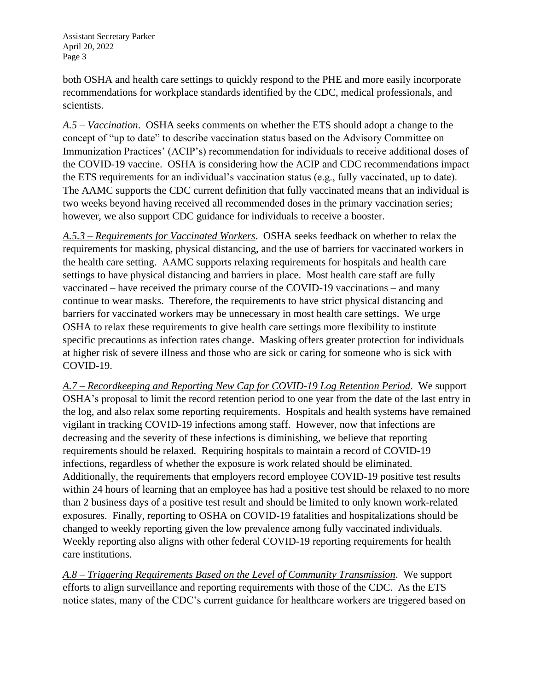Assistant Secretary Parker April 20, 2022 Page 3

both OSHA and health care settings to quickly respond to the PHE and more easily incorporate recommendations for workplace standards identified by the CDC, medical professionals, and scientists.

*A.5 – Vaccination*. OSHA seeks comments on whether the ETS should adopt a change to the concept of "up to date" to describe vaccination status based on the Advisory Committee on Immunization Practices' (ACIP's) recommendation for individuals to receive additional doses of the COVID-19 vaccine. OSHA is considering how the ACIP and CDC recommendations impact the ETS requirements for an individual's vaccination status (e.g., fully vaccinated, up to date). The AAMC supports the CDC current definition that fully vaccinated means that an individual is two weeks beyond having received all recommended doses in the primary vaccination series; however, we also support CDC guidance for individuals to receive a booster.

*A.5.3 – Requirements for Vaccinated Workers*. OSHA seeks feedback on whether to relax the requirements for masking, physical distancing, and the use of barriers for vaccinated workers in the health care setting. AAMC supports relaxing requirements for hospitals and health care settings to have physical distancing and barriers in place. Most health care staff are fully vaccinated – have received the primary course of the COVID-19 vaccinations – and many continue to wear masks. Therefore, the requirements to have strict physical distancing and barriers for vaccinated workers may be unnecessary in most health care settings. We urge OSHA to relax these requirements to give health care settings more flexibility to institute specific precautions as infection rates change. Masking offers greater protection for individuals at higher risk of severe illness and those who are sick or caring for someone who is sick with COVID-19.

*A.7 – Recordkeeping and Reporting New Cap for COVID-19 Log Retention Period*. We support OSHA's proposal to limit the record retention period to one year from the date of the last entry in the log, and also relax some reporting requirements. Hospitals and health systems have remained vigilant in tracking COVID-19 infections among staff. However, now that infections are decreasing and the severity of these infections is diminishing, we believe that reporting requirements should be relaxed. Requiring hospitals to maintain a record of COVID-19 infections, regardless of whether the exposure is work related should be eliminated. Additionally, the requirements that employers record employee COVID-19 positive test results within 24 hours of learning that an employee has had a positive test should be relaxed to no more than 2 business days of a positive test result and should be limited to only known work-related exposures. Finally, reporting to OSHA on COVID-19 fatalities and hospitalizations should be changed to weekly reporting given the low prevalence among fully vaccinated individuals. Weekly reporting also aligns with other federal COVID-19 reporting requirements for health care institutions.

*A.8 – Triggering Requirements Based on the Level of Community Transmission*. We support efforts to align surveillance and reporting requirements with those of the CDC. As the ETS notice states, many of the CDC's current guidance for healthcare workers are triggered based on